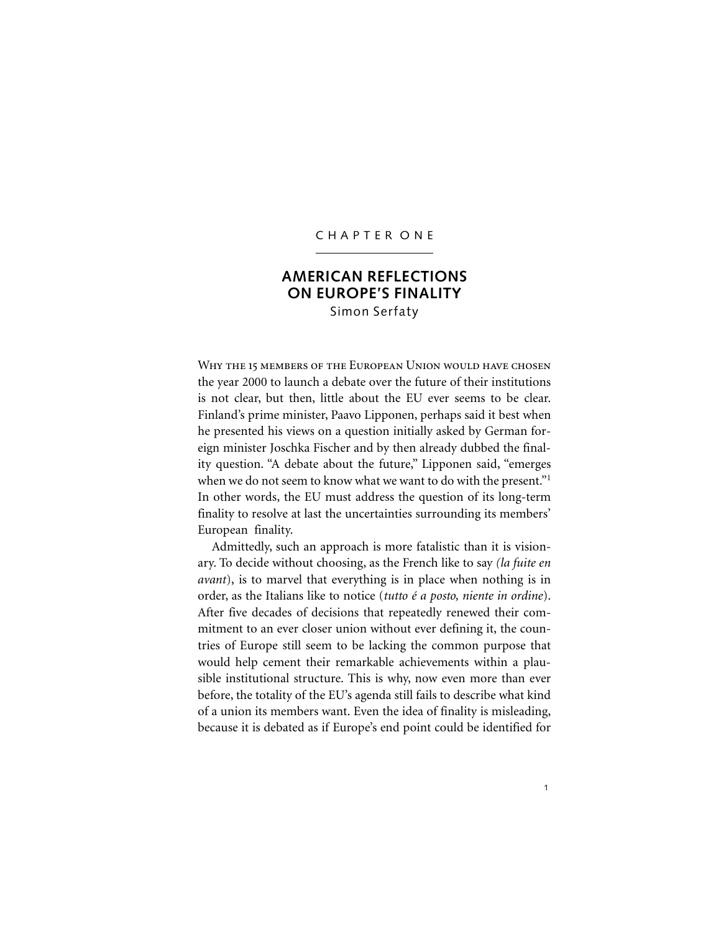### C H A P T E R O N E

# **AMERICAN REFLECTIONS ON EUROPE'S FINALITY** Simon Serfaty

WHY THE 15 MEMBERS OF THE EUROPEAN UNION WOULD HAVE CHOSEN the year 2000 to launch a debate over the future of their institutions is not clear, but then, little about the EU ever seems to be clear. Finland's prime minister, Paavo Lipponen, perhaps said it best when he presented his views on a question initially asked by German foreign minister Joschka Fischer and by then already dubbed the finality question. "A debate about the future," Lipponen said, "emerges when we do not seem to know what we want to do with the present."<sup>1</sup> In other words, the EU must address the question of its long-term finality to resolve at last the uncertainties surrounding its members' European finality.

Admittedly, such an approach is more fatalistic than it is visionary. To decide without choosing, as the French like to say *(la fuite en avant*), is to marvel that everything is in place when nothing is in order, as the Italians like to notice (*tutto é a posto, niente in ordine*). After five decades of decisions that repeatedly renewed their commitment to an ever closer union without ever defining it, the countries of Europe still seem to be lacking the common purpose that would help cement their remarkable achievements within a plausible institutional structure. This is why, now even more than ever before, the totality of the EU's agenda still fails to describe what kind of a union its members want. Even the idea of finality is misleading, because it is debated as if Europe's end point could be identified for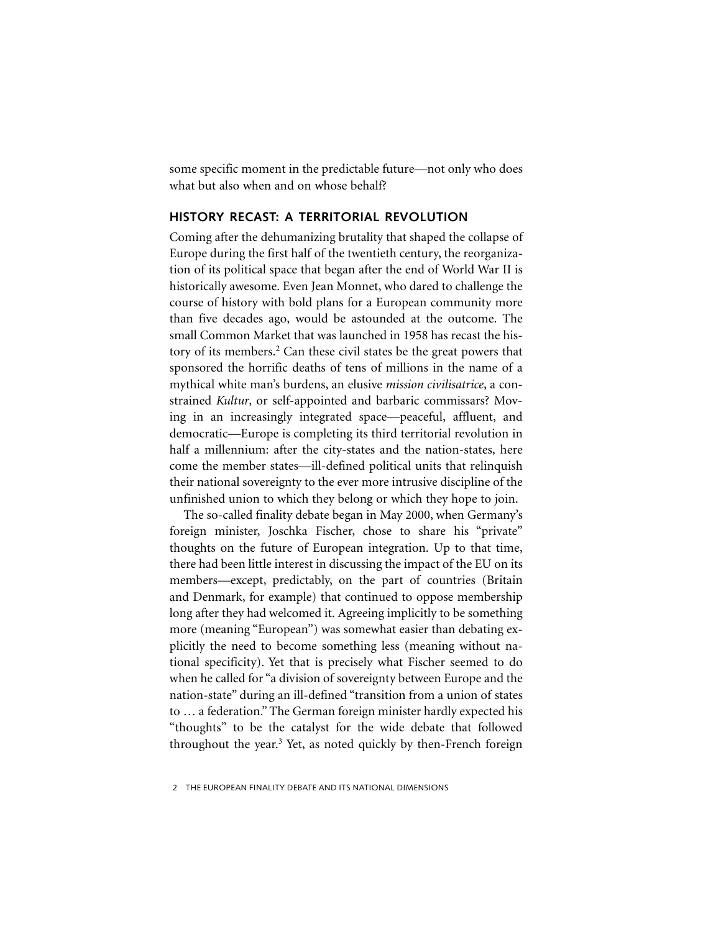some specific moment in the predictable future—not only who does what but also when and on whose behalf?

## **HISTORY RECAST: A TERRITORIAL REVOLUTION**

Coming after the dehumanizing brutality that shaped the collapse of Europe during the first half of the twentieth century, the reorganization of its political space that began after the end of World War II is historically awesome. Even Jean Monnet, who dared to challenge the course of history with bold plans for a European community more than five decades ago, would be astounded at the outcome. The small Common Market that was launched in 1958 has recast the history of its members.<sup>2</sup> Can these civil states be the great powers that sponsored the horrific deaths of tens of millions in the name of a mythical white man's burdens, an elusive *mission civilisatrice*, a constrained *Kultur*, or self-appointed and barbaric commissars? Moving in an increasingly integrated space—peaceful, affluent, and democratic—Europe is completing its third territorial revolution in half a millennium: after the city-states and the nation-states, here come the member states—ill-defined political units that relinquish their national sovereignty to the ever more intrusive discipline of the unfinished union to which they belong or which they hope to join.

The so-called finality debate began in May 2000, when Germany's foreign minister, Joschka Fischer, chose to share his "private" thoughts on the future of European integration. Up to that time, there had been little interest in discussing the impact of the EU on its members—except, predictably, on the part of countries (Britain and Denmark, for example) that continued to oppose membership long after they had welcomed it. Agreeing implicitly to be something more (meaning "European") was somewhat easier than debating explicitly the need to become something less (meaning without national specificity). Yet that is precisely what Fischer seemed to do when he called for "a division of sovereignty between Europe and the nation-state" during an ill-defined "transition from a union of states to … a federation." The German foreign minister hardly expected his "thoughts" to be the catalyst for the wide debate that followed throughout the year.<sup>3</sup> Yet, as noted quickly by then-French foreign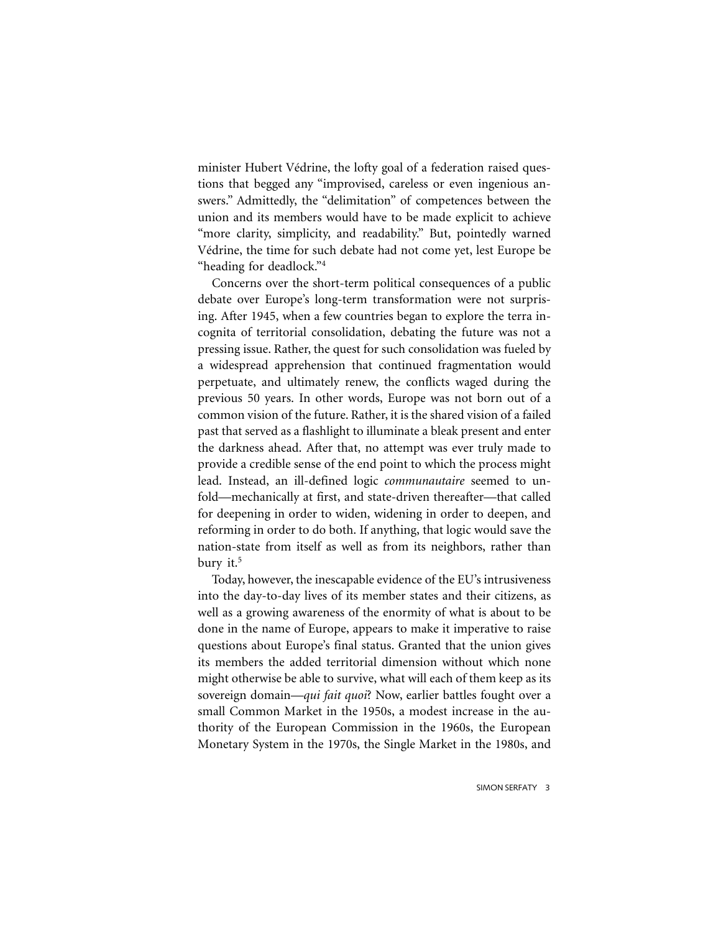minister Hubert Védrine, the lofty goal of a federation raised questions that begged any "improvised, careless or even ingenious answers." Admittedly, the "delimitation" of competences between the union and its members would have to be made explicit to achieve "more clarity, simplicity, and readability." But, pointedly warned Védrine, the time for such debate had not come yet, lest Europe be "heading for deadlock."4

Concerns over the short-term political consequences of a public debate over Europe's long-term transformation were not surprising. After 1945, when a few countries began to explore the terra incognita of territorial consolidation, debating the future was not a pressing issue. Rather, the quest for such consolidation was fueled by a widespread apprehension that continued fragmentation would perpetuate, and ultimately renew, the conflicts waged during the previous 50 years. In other words, Europe was not born out of a common vision of the future. Rather, it is the shared vision of a failed past that served as a flashlight to illuminate a bleak present and enter the darkness ahead. After that, no attempt was ever truly made to provide a credible sense of the end point to which the process might lead. Instead, an ill-defined logic *communautaire* seemed to unfold—mechanically at first, and state-driven thereafter—that called for deepening in order to widen, widening in order to deepen, and reforming in order to do both. If anything, that logic would save the nation-state from itself as well as from its neighbors, rather than bury it.<sup>5</sup>

Today, however, the inescapable evidence of the EU's intrusiveness into the day-to-day lives of its member states and their citizens, as well as a growing awareness of the enormity of what is about to be done in the name of Europe, appears to make it imperative to raise questions about Europe's final status. Granted that the union gives its members the added territorial dimension without which none might otherwise be able to survive, what will each of them keep as its sovereign domain—*qui fait quoi*? Now, earlier battles fought over a small Common Market in the 1950s, a modest increase in the authority of the European Commission in the 1960s, the European Monetary System in the 1970s, the Single Market in the 1980s, and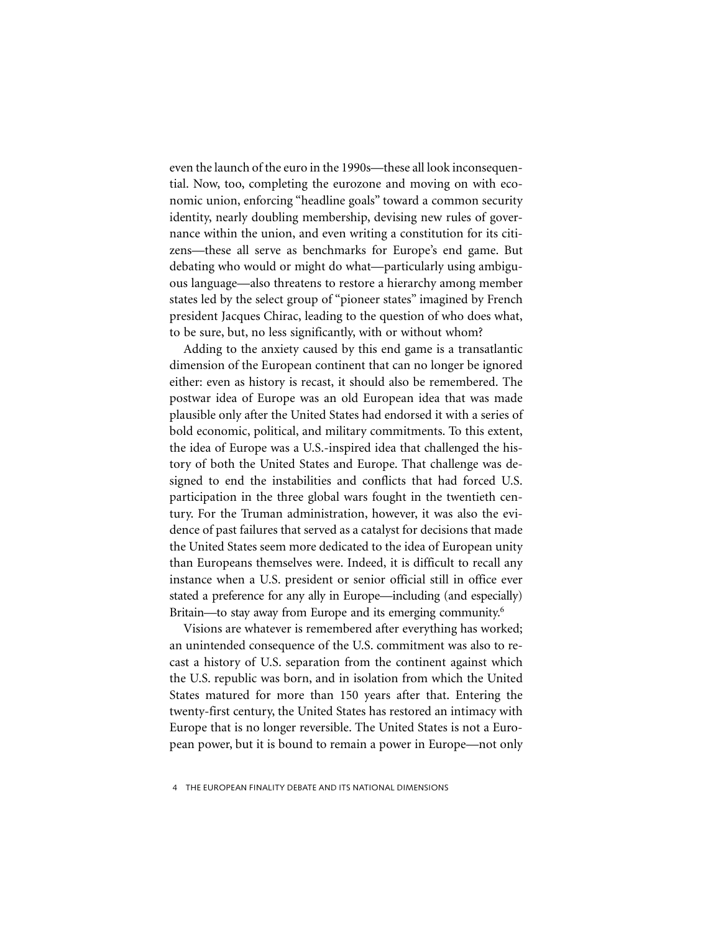even the launch of the euro in the 1990s—these all look inconsequential. Now, too, completing the eurozone and moving on with economic union, enforcing "headline goals" toward a common security identity, nearly doubling membership, devising new rules of governance within the union, and even writing a constitution for its citizens—these all serve as benchmarks for Europe's end game. But debating who would or might do what—particularly using ambiguous language—also threatens to restore a hierarchy among member states led by the select group of "pioneer states" imagined by French president Jacques Chirac, leading to the question of who does what, to be sure, but, no less significantly, with or without whom?

Adding to the anxiety caused by this end game is a transatlantic dimension of the European continent that can no longer be ignored either: even as history is recast, it should also be remembered. The postwar idea of Europe was an old European idea that was made plausible only after the United States had endorsed it with a series of bold economic, political, and military commitments. To this extent, the idea of Europe was a U.S.-inspired idea that challenged the history of both the United States and Europe. That challenge was designed to end the instabilities and conflicts that had forced U.S. participation in the three global wars fought in the twentieth century. For the Truman administration, however, it was also the evidence of past failures that served as a catalyst for decisions that made the United States seem more dedicated to the idea of European unity than Europeans themselves were. Indeed, it is difficult to recall any instance when a U.S. president or senior official still in office ever stated a preference for any ally in Europe—including (and especially) Britain—to stay away from Europe and its emerging community.<sup>6</sup>

Visions are whatever is remembered after everything has worked; an unintended consequence of the U.S. commitment was also to recast a history of U.S. separation from the continent against which the U.S. republic was born, and in isolation from which the United States matured for more than 150 years after that. Entering the twenty-first century, the United States has restored an intimacy with Europe that is no longer reversible. The United States is not a European power, but it is bound to remain a power in Europe—not only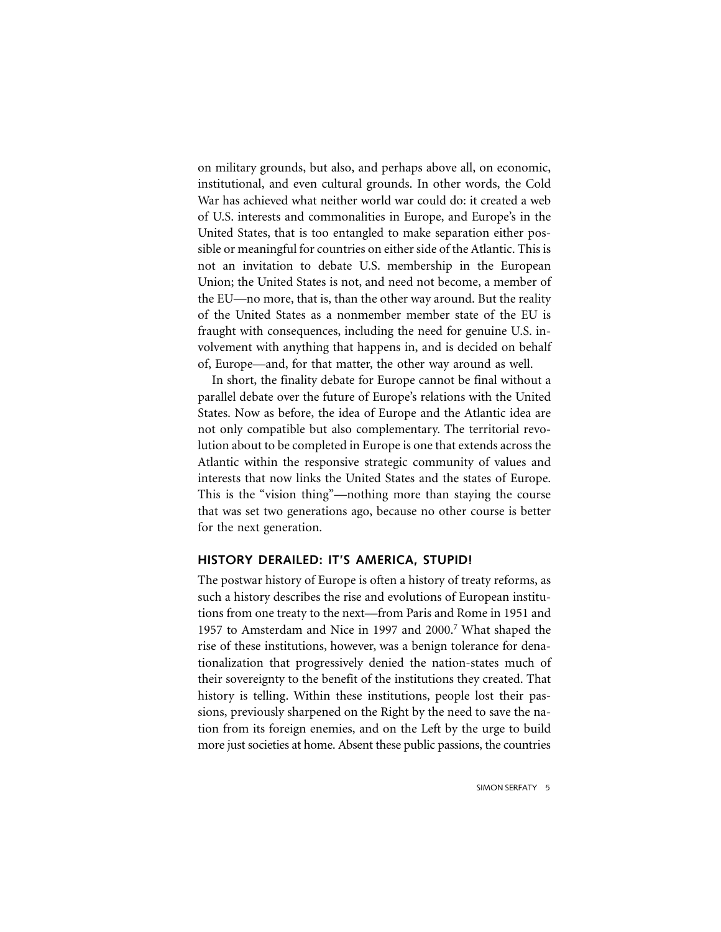on military grounds, but also, and perhaps above all, on economic, institutional, and even cultural grounds. In other words, the Cold War has achieved what neither world war could do: it created a web of U.S. interests and commonalities in Europe, and Europe's in the United States, that is too entangled to make separation either possible or meaningful for countries on either side of the Atlantic. This is not an invitation to debate U.S. membership in the European Union; the United States is not, and need not become, a member of the EU—no more, that is, than the other way around. But the reality of the United States as a nonmember member state of the EU is fraught with consequences, including the need for genuine U.S. involvement with anything that happens in, and is decided on behalf of, Europe—and, for that matter, the other way around as well.

In short, the finality debate for Europe cannot be final without a parallel debate over the future of Europe's relations with the United States. Now as before, the idea of Europe and the Atlantic idea are not only compatible but also complementary. The territorial revolution about to be completed in Europe is one that extends across the Atlantic within the responsive strategic community of values and interests that now links the United States and the states of Europe. This is the "vision thing"—nothing more than staying the course that was set two generations ago, because no other course is better for the next generation.

#### **HISTORY DERAILED: IT'S AMERICA, STUPID!**

The postwar history of Europe is often a history of treaty reforms, as such a history describes the rise and evolutions of European institutions from one treaty to the next—from Paris and Rome in 1951 and 1957 to Amsterdam and Nice in 1997 and 2000.7 What shaped the rise of these institutions, however, was a benign tolerance for denationalization that progressively denied the nation-states much of their sovereignty to the benefit of the institutions they created. That history is telling. Within these institutions, people lost their passions, previously sharpened on the Right by the need to save the nation from its foreign enemies, and on the Left by the urge to build more just societies at home. Absent these public passions, the countries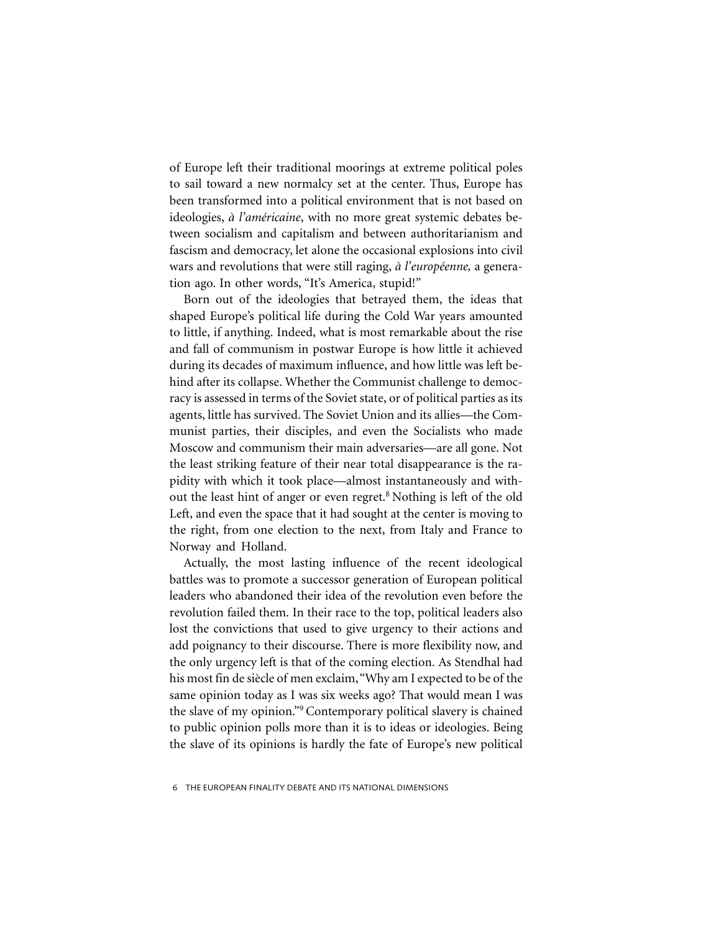of Europe left their traditional moorings at extreme political poles to sail toward a new normalcy set at the center. Thus, Europe has been transformed into a political environment that is not based on ideologies, *à l'américaine*, with no more great systemic debates between socialism and capitalism and between authoritarianism and fascism and democracy, let alone the occasional explosions into civil wars and revolutions that were still raging, *à l'européenne,* a generation ago. In other words, "It's America, stupid!"

Born out of the ideologies that betrayed them, the ideas that shaped Europe's political life during the Cold War years amounted to little, if anything. Indeed, what is most remarkable about the rise and fall of communism in postwar Europe is how little it achieved during its decades of maximum influence, and how little was left behind after its collapse. Whether the Communist challenge to democracy is assessed in terms of the Soviet state, or of political parties as its agents, little has survived. The Soviet Union and its allies—the Communist parties, their disciples, and even the Socialists who made Moscow and communism their main adversaries—are all gone. Not the least striking feature of their near total disappearance is the rapidity with which it took place—almost instantaneously and without the least hint of anger or even regret.<sup>8</sup> Nothing is left of the old Left, and even the space that it had sought at the center is moving to the right, from one election to the next, from Italy and France to Norway and Holland.

Actually, the most lasting influence of the recent ideological battles was to promote a successor generation of European political leaders who abandoned their idea of the revolution even before the revolution failed them. In their race to the top, political leaders also lost the convictions that used to give urgency to their actions and add poignancy to their discourse. There is more flexibility now, and the only urgency left is that of the coming election. As Stendhal had his most fin de siècle of men exclaim, "Why am I expected to be of the same opinion today as I was six weeks ago? That would mean I was the slave of my opinion."9 Contemporary political slavery is chained to public opinion polls more than it is to ideas or ideologies. Being the slave of its opinions is hardly the fate of Europe's new political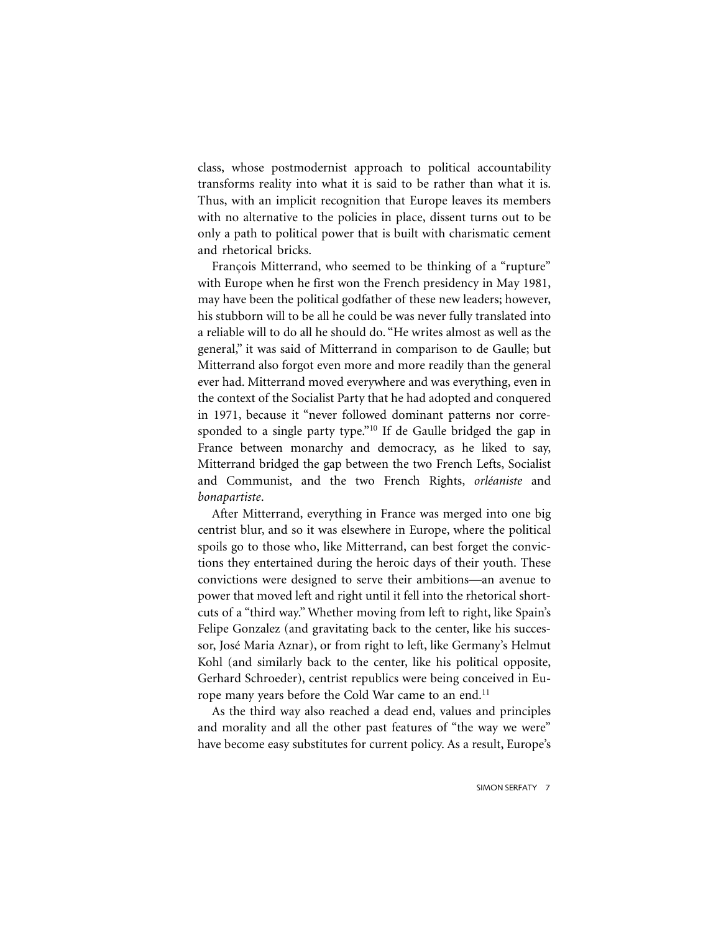class, whose postmodernist approach to political accountability transforms reality into what it is said to be rather than what it is. Thus, with an implicit recognition that Europe leaves its members with no alternative to the policies in place, dissent turns out to be only a path to political power that is built with charismatic cement and rhetorical bricks.

François Mitterrand, who seemed to be thinking of a "rupture" with Europe when he first won the French presidency in May 1981, may have been the political godfather of these new leaders; however, his stubborn will to be all he could be was never fully translated into a reliable will to do all he should do. "He writes almost as well as the general," it was said of Mitterrand in comparison to de Gaulle; but Mitterrand also forgot even more and more readily than the general ever had. Mitterrand moved everywhere and was everything, even in the context of the Socialist Party that he had adopted and conquered in 1971, because it "never followed dominant patterns nor corresponded to a single party type."10 If de Gaulle bridged the gap in France between monarchy and democracy, as he liked to say, Mitterrand bridged the gap between the two French Lefts, Socialist and Communist, and the two French Rights, *orléaniste* and *bonapartiste*.

After Mitterrand, everything in France was merged into one big centrist blur, and so it was elsewhere in Europe, where the political spoils go to those who, like Mitterrand, can best forget the convictions they entertained during the heroic days of their youth. These convictions were designed to serve their ambitions—an avenue to power that moved left and right until it fell into the rhetorical shortcuts of a "third way." Whether moving from left to right, like Spain's Felipe Gonzalez (and gravitating back to the center, like his successor, José Maria Aznar), or from right to left, like Germany's Helmut Kohl (and similarly back to the center, like his political opposite, Gerhard Schroeder), centrist republics were being conceived in Europe many years before the Cold War came to an end.<sup>11</sup>

As the third way also reached a dead end, values and principles and morality and all the other past features of "the way we were" have become easy substitutes for current policy. As a result, Europe's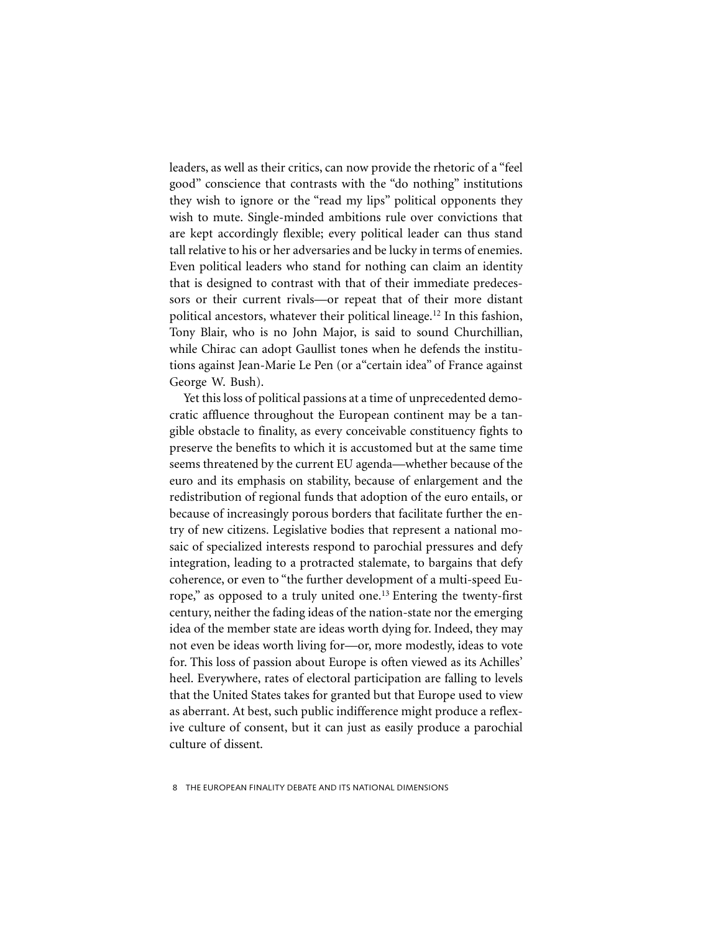leaders, as well as their critics, can now provide the rhetoric of a "feel good" conscience that contrasts with the "do nothing" institutions they wish to ignore or the "read my lips" political opponents they wish to mute. Single-minded ambitions rule over convictions that are kept accordingly flexible; every political leader can thus stand tall relative to his or her adversaries and be lucky in terms of enemies. Even political leaders who stand for nothing can claim an identity that is designed to contrast with that of their immediate predecessors or their current rivals—or repeat that of their more distant political ancestors, whatever their political lineage.12 In this fashion, Tony Blair, who is no John Major, is said to sound Churchillian, while Chirac can adopt Gaullist tones when he defends the institutions against Jean-Marie Le Pen (or a"certain idea" of France against George W. Bush).

Yet this loss of political passions at a time of unprecedented democratic affluence throughout the European continent may be a tangible obstacle to finality, as every conceivable constituency fights to preserve the benefits to which it is accustomed but at the same time seems threatened by the current EU agenda—whether because of the euro and its emphasis on stability, because of enlargement and the redistribution of regional funds that adoption of the euro entails, or because of increasingly porous borders that facilitate further the entry of new citizens. Legislative bodies that represent a national mosaic of specialized interests respond to parochial pressures and defy integration, leading to a protracted stalemate, to bargains that defy coherence, or even to "the further development of a multi-speed Europe," as opposed to a truly united one.<sup>13</sup> Entering the twenty-first century, neither the fading ideas of the nation-state nor the emerging idea of the member state are ideas worth dying for. Indeed, they may not even be ideas worth living for—or, more modestly, ideas to vote for. This loss of passion about Europe is often viewed as its Achilles' heel. Everywhere, rates of electoral participation are falling to levels that the United States takes for granted but that Europe used to view as aberrant. At best, such public indifference might produce a reflexive culture of consent, but it can just as easily produce a parochial culture of dissent.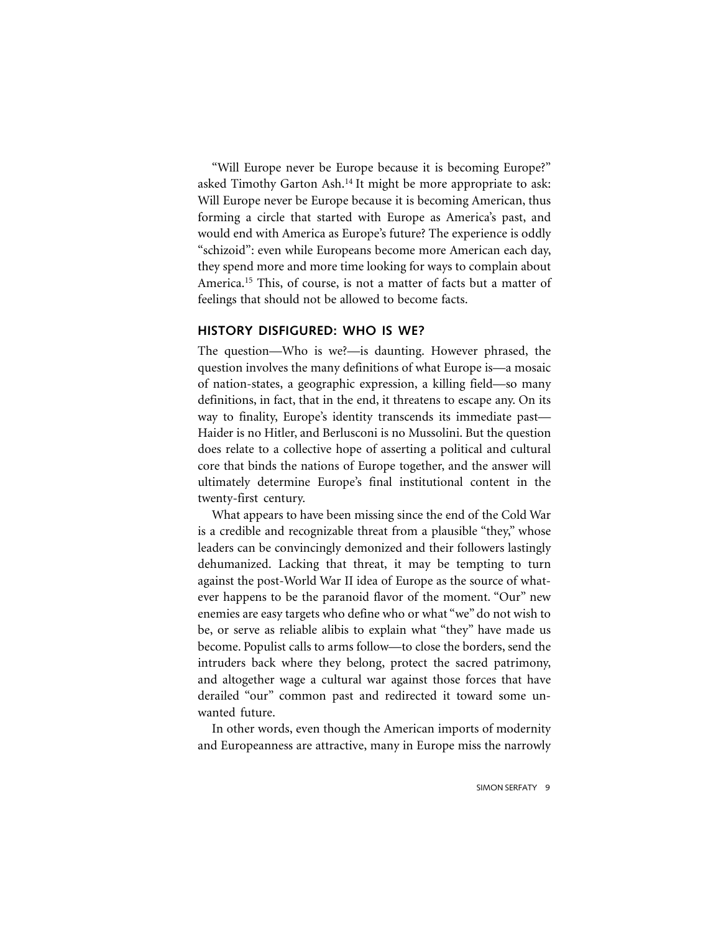"Will Europe never be Europe because it is becoming Europe?" asked Timothy Garton Ash.14 It might be more appropriate to ask: Will Europe never be Europe because it is becoming American, thus forming a circle that started with Europe as America's past, and would end with America as Europe's future? The experience is oddly "schizoid": even while Europeans become more American each day, they spend more and more time looking for ways to complain about America.<sup>15</sup> This, of course, is not a matter of facts but a matter of feelings that should not be allowed to become facts.

## **HISTORY DISFIGURED: WHO IS WE?**

The question—Who is we?—is daunting. However phrased, the question involves the many definitions of what Europe is—a mosaic of nation-states, a geographic expression, a killing field—so many definitions, in fact, that in the end, it threatens to escape any. On its way to finality, Europe's identity transcends its immediate past— Haider is no Hitler, and Berlusconi is no Mussolini. But the question does relate to a collective hope of asserting a political and cultural core that binds the nations of Europe together, and the answer will ultimately determine Europe's final institutional content in the twenty-first century.

What appears to have been missing since the end of the Cold War is a credible and recognizable threat from a plausible "they," whose leaders can be convincingly demonized and their followers lastingly dehumanized. Lacking that threat, it may be tempting to turn against the post-World War II idea of Europe as the source of whatever happens to be the paranoid flavor of the moment. "Our" new enemies are easy targets who define who or what "we" do not wish to be, or serve as reliable alibis to explain what "they" have made us become. Populist calls to arms follow—to close the borders, send the intruders back where they belong, protect the sacred patrimony, and altogether wage a cultural war against those forces that have derailed "our" common past and redirected it toward some unwanted future.

In other words, even though the American imports of modernity and Europeanness are attractive, many in Europe miss the narrowly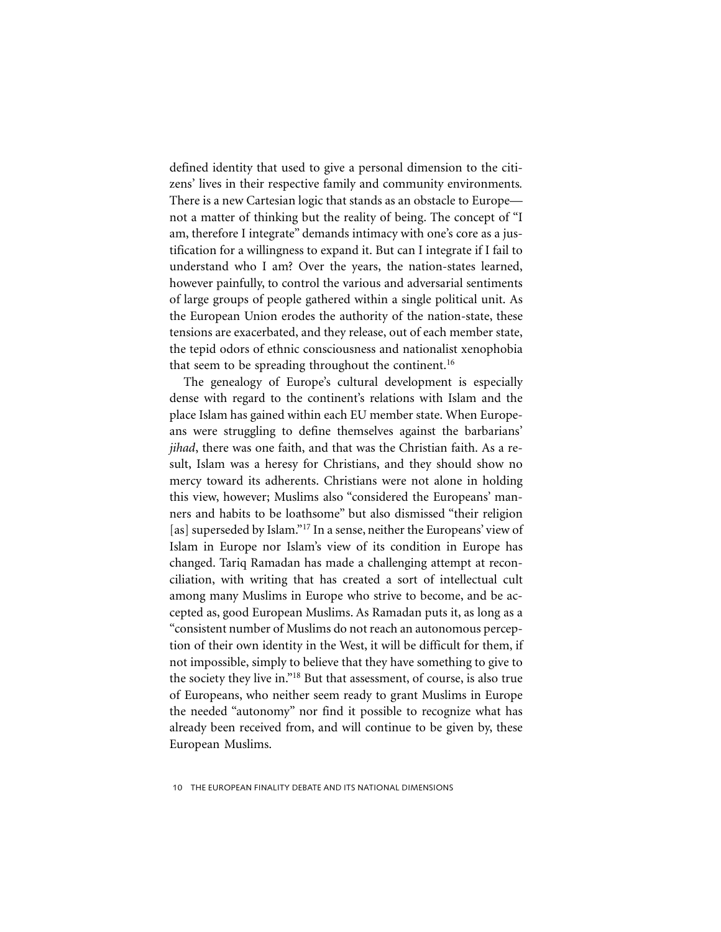defined identity that used to give a personal dimension to the citizens' lives in their respective family and community environments*.* There is a new Cartesian logic that stands as an obstacle to Europe not a matter of thinking but the reality of being. The concept of "I am, therefore I integrate" demands intimacy with one's core as a justification for a willingness to expand it. But can I integrate if I fail to understand who I am? Over the years, the nation-states learned, however painfully, to control the various and adversarial sentiments of large groups of people gathered within a single political unit. As the European Union erodes the authority of the nation-state, these tensions are exacerbated, and they release, out of each member state, the tepid odors of ethnic consciousness and nationalist xenophobia that seem to be spreading throughout the continent.<sup>16</sup>

The genealogy of Europe's cultural development is especially dense with regard to the continent's relations with Islam and the place Islam has gained within each EU member state. When Europeans were struggling to define themselves against the barbarians' *jihad*, there was one faith, and that was the Christian faith. As a result, Islam was a heresy for Christians, and they should show no mercy toward its adherents. Christians were not alone in holding this view, however; Muslims also "considered the Europeans' manners and habits to be loathsome" but also dismissed "their religion [as] superseded by Islam."<sup>17</sup> In a sense, neither the Europeans' view of Islam in Europe nor Islam's view of its condition in Europe has changed. Tariq Ramadan has made a challenging attempt at reconciliation, with writing that has created a sort of intellectual cult among many Muslims in Europe who strive to become, and be accepted as, good European Muslims. As Ramadan puts it, as long as a "consistent number of Muslims do not reach an autonomous perception of their own identity in the West, it will be difficult for them, if not impossible, simply to believe that they have something to give to the society they live in."18 But that assessment, of course, is also true of Europeans, who neither seem ready to grant Muslims in Europe the needed "autonomy" nor find it possible to recognize what has already been received from, and will continue to be given by, these European Muslims.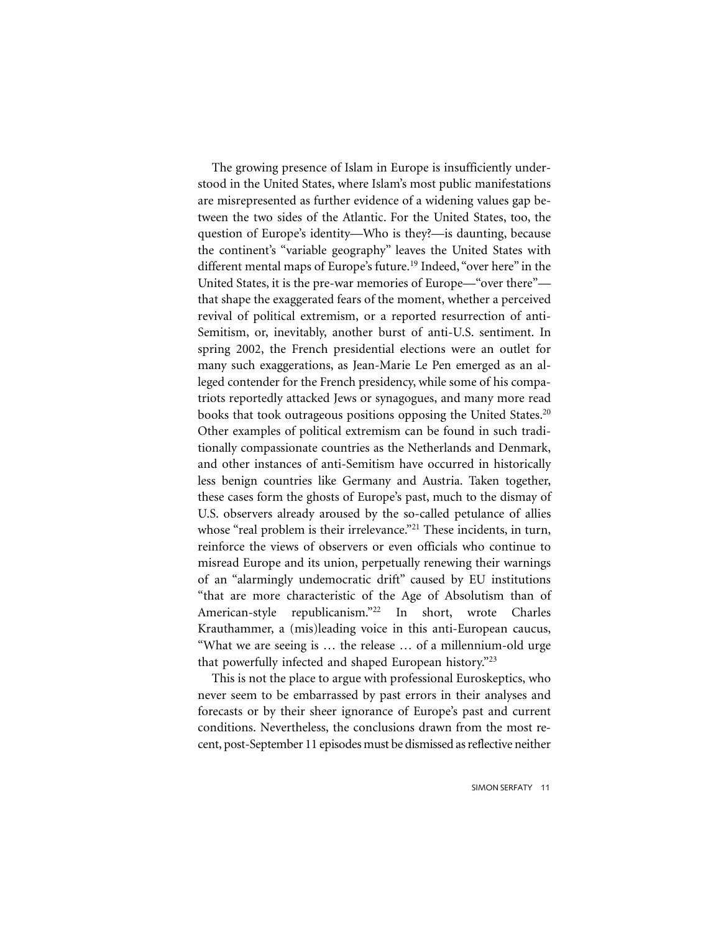The growing presence of Islam in Europe is insufficiently understood in the United States, where Islam's most public manifestations are misrepresented as further evidence of a widening values gap between the two sides of the Atlantic. For the United States, too, the question of Europe's identity—Who is they?—is daunting, because the continent's "variable geography" leaves the United States with different mental maps of Europe's future.<sup>19</sup> Indeed, "over here" in the United States, it is the pre-war memories of Europe—"over there" that shape the exaggerated fears of the moment, whether a perceived revival of political extremism, or a reported resurrection of anti-Semitism, or, inevitably, another burst of anti-U.S. sentiment. In spring 2002, the French presidential elections were an outlet for many such exaggerations, as Jean-Marie Le Pen emerged as an alleged contender for the French presidency, while some of his compatriots reportedly attacked Jews or synagogues, and many more read books that took outrageous positions opposing the United States.<sup>20</sup> Other examples of political extremism can be found in such traditionally compassionate countries as the Netherlands and Denmark, and other instances of anti-Semitism have occurred in historically less benign countries like Germany and Austria. Taken together, these cases form the ghosts of Europe's past, much to the dismay of U.S. observers already aroused by the so-called petulance of allies whose "real problem is their irrelevance."<sup>21</sup> These incidents, in turn, reinforce the views of observers or even officials who continue to misread Europe and its union, perpetually renewing their warnings of an "alarmingly undemocratic drift" caused by EU institutions "that are more characteristic of the Age of Absolutism than of American-style republicanism."22 In short, wrote Charles Krauthammer, a (mis)leading voice in this anti-European caucus, "What we are seeing is … the release … of a millennium-old urge that powerfully infected and shaped European history."23

This is not the place to argue with professional Euroskeptics, who never seem to be embarrassed by past errors in their analyses and forecasts or by their sheer ignorance of Europe's past and current conditions. Nevertheless, the conclusions drawn from the most recent, post-September 11 episodes must be dismissed as reflective neither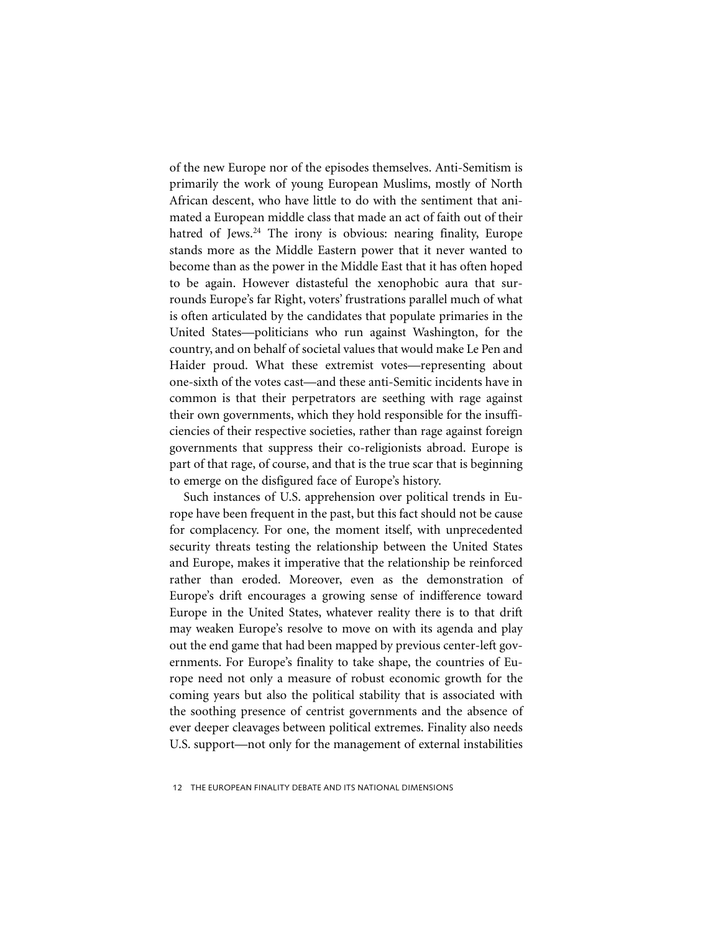of the new Europe nor of the episodes themselves. Anti-Semitism is primarily the work of young European Muslims, mostly of North African descent, who have little to do with the sentiment that animated a European middle class that made an act of faith out of their hatred of Jews.<sup>24</sup> The irony is obvious: nearing finality, Europe stands more as the Middle Eastern power that it never wanted to become than as the power in the Middle East that it has often hoped to be again. However distasteful the xenophobic aura that surrounds Europe's far Right, voters' frustrations parallel much of what is often articulated by the candidates that populate primaries in the United States—politicians who run against Washington, for the country, and on behalf of societal values that would make Le Pen and Haider proud. What these extremist votes—representing about one-sixth of the votes cast—and these anti-Semitic incidents have in common is that their perpetrators are seething with rage against their own governments, which they hold responsible for the insufficiencies of their respective societies, rather than rage against foreign governments that suppress their co-religionists abroad. Europe is part of that rage, of course, and that is the true scar that is beginning to emerge on the disfigured face of Europe's history.

Such instances of U.S. apprehension over political trends in Europe have been frequent in the past, but this fact should not be cause for complacency. For one, the moment itself, with unprecedented security threats testing the relationship between the United States and Europe, makes it imperative that the relationship be reinforced rather than eroded. Moreover, even as the demonstration of Europe's drift encourages a growing sense of indifference toward Europe in the United States, whatever reality there is to that drift may weaken Europe's resolve to move on with its agenda and play out the end game that had been mapped by previous center-left governments. For Europe's finality to take shape, the countries of Europe need not only a measure of robust economic growth for the coming years but also the political stability that is associated with the soothing presence of centrist governments and the absence of ever deeper cleavages between political extremes. Finality also needs U.S. support—not only for the management of external instabilities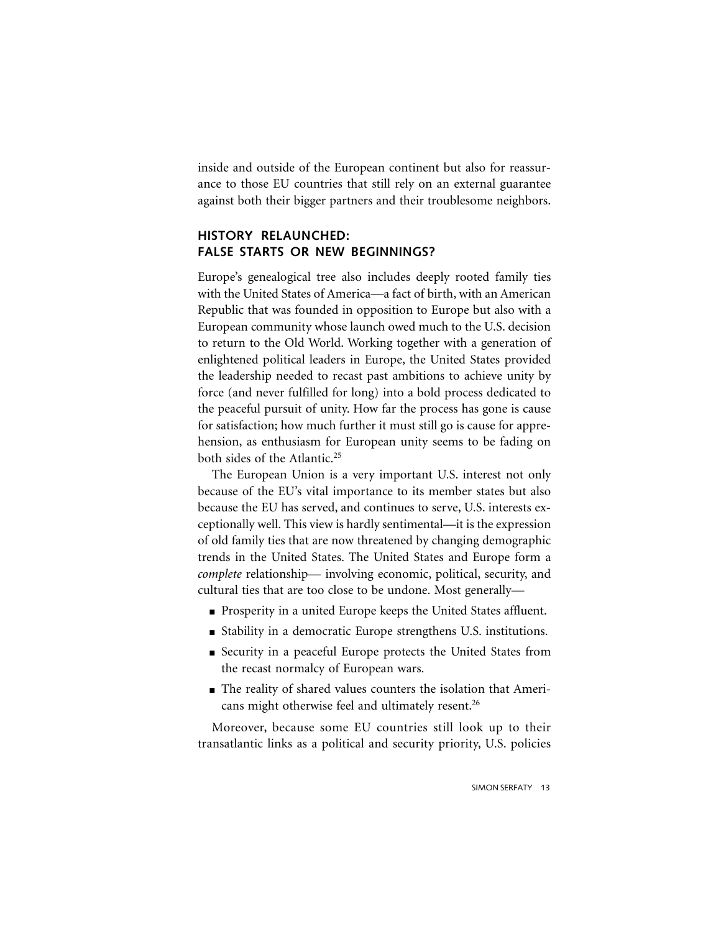inside and outside of the European continent but also for reassurance to those EU countries that still rely on an external guarantee against both their bigger partners and their troublesome neighbors.

## **HISTORY RELAUNCHED: FALSE STARTS OR NEW BEGINNINGS?**

Europe's genealogical tree also includes deeply rooted family ties with the United States of America—a fact of birth, with an American Republic that was founded in opposition to Europe but also with a European community whose launch owed much to the U.S. decision to return to the Old World. Working together with a generation of enlightened political leaders in Europe, the United States provided the leadership needed to recast past ambitions to achieve unity by force (and never fulfilled for long) into a bold process dedicated to the peaceful pursuit of unity. How far the process has gone is cause for satisfaction; how much further it must still go is cause for apprehension, as enthusiasm for European unity seems to be fading on both sides of the Atlantic.<sup>25</sup>

The European Union is a very important U.S. interest not only because of the EU's vital importance to its member states but also because the EU has served, and continues to serve, U.S. interests exceptionally well. This view is hardly sentimental—it is the expression of old family ties that are now threatened by changing demographic trends in the United States. The United States and Europe form a *complete* relationship— involving economic, political, security, and cultural ties that are too close to be undone. Most generally—

- Prosperity in a united Europe keeps the United States affluent.
- Stability in a democratic Europe strengthens U.S. institutions.
- Security in a peaceful Europe protects the United States from the recast normalcy of European wars.
- The reality of shared values counters the isolation that Americans might otherwise feel and ultimately resent.<sup>26</sup>

Moreover, because some EU countries still look up to their transatlantic links as a political and security priority, U.S. policies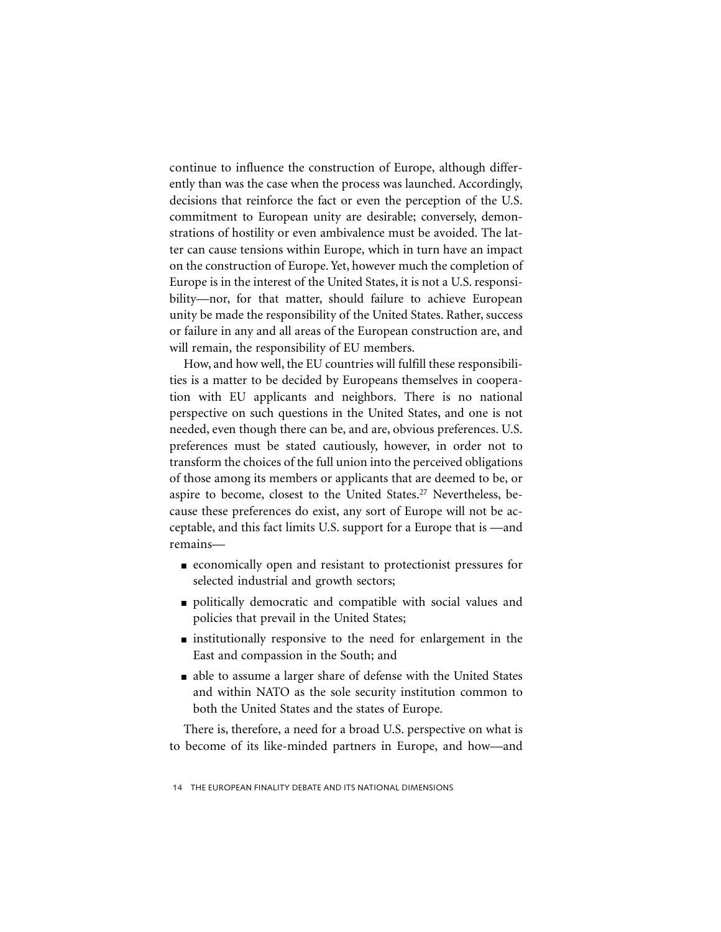continue to influence the construction of Europe, although differently than was the case when the process was launched. Accordingly, decisions that reinforce the fact or even the perception of the U.S. commitment to European unity are desirable; conversely, demonstrations of hostility or even ambivalence must be avoided. The latter can cause tensions within Europe, which in turn have an impact on the construction of Europe. Yet, however much the completion of Europe is in the interest of the United States, it is not a U.S. responsibility—nor, for that matter, should failure to achieve European unity be made the responsibility of the United States. Rather, success or failure in any and all areas of the European construction are, and will remain, the responsibility of EU members.

How, and how well, the EU countries will fulfill these responsibilities is a matter to be decided by Europeans themselves in cooperation with EU applicants and neighbors. There is no national perspective on such questions in the United States, and one is not needed, even though there can be, and are, obvious preferences. U.S. preferences must be stated cautiously, however, in order not to transform the choices of the full union into the perceived obligations of those among its members or applicants that are deemed to be, or aspire to become, closest to the United States.<sup>27</sup> Nevertheless, because these preferences do exist, any sort of Europe will not be acceptable, and this fact limits U.S. support for a Europe that is —and remains—

- economically open and resistant to protectionist pressures for selected industrial and growth sectors;
- politically democratic and compatible with social values and policies that prevail in the United States;
- institutionally responsive to the need for enlargement in the East and compassion in the South; and
- able to assume a larger share of defense with the United States and within NATO as the sole security institution common to both the United States and the states of Europe.

There is, therefore, a need for a broad U.S. perspective on what is to become of its like-minded partners in Europe, and how—and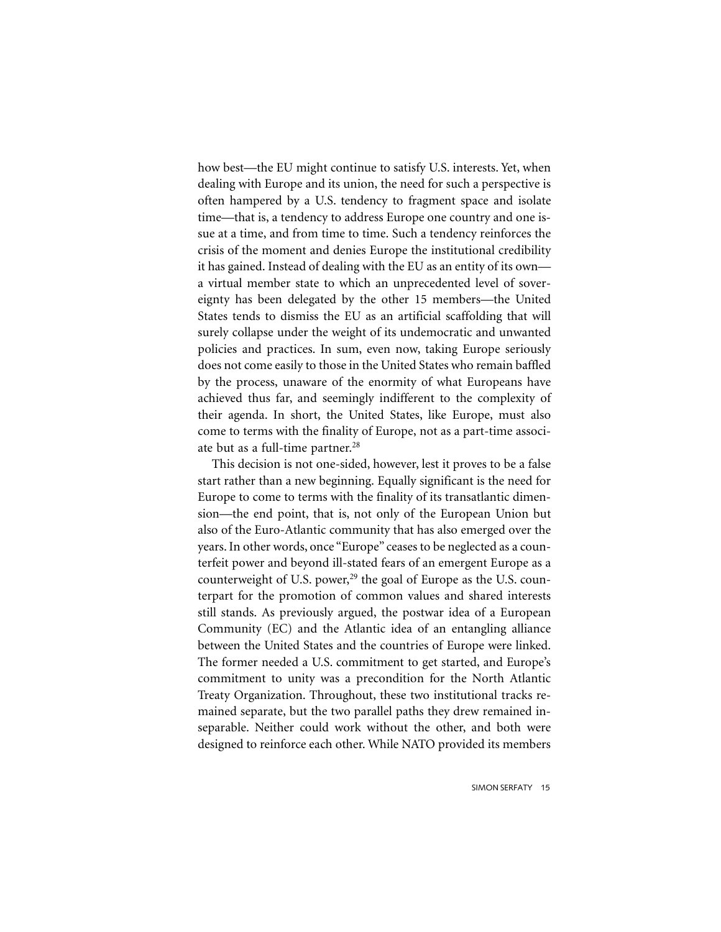how best—the EU might continue to satisfy U.S. interests. Yet, when dealing with Europe and its union, the need for such a perspective is often hampered by a U.S. tendency to fragment space and isolate time—that is, a tendency to address Europe one country and one issue at a time, and from time to time. Such a tendency reinforces the crisis of the moment and denies Europe the institutional credibility it has gained. Instead of dealing with the EU as an entity of its own a virtual member state to which an unprecedented level of sovereignty has been delegated by the other 15 members—the United States tends to dismiss the EU as an artificial scaffolding that will surely collapse under the weight of its undemocratic and unwanted policies and practices. In sum, even now, taking Europe seriously does not come easily to those in the United States who remain baffled by the process, unaware of the enormity of what Europeans have achieved thus far, and seemingly indifferent to the complexity of their agenda. In short, the United States, like Europe, must also come to terms with the finality of Europe, not as a part-time associate but as a full-time partner.<sup>28</sup>

This decision is not one-sided, however, lest it proves to be a false start rather than a new beginning. Equally significant is the need for Europe to come to terms with the finality of its transatlantic dimension—the end point, that is, not only of the European Union but also of the Euro-Atlantic community that has also emerged over the years. In other words, once "Europe" ceases to be neglected as a counterfeit power and beyond ill-stated fears of an emergent Europe as a counterweight of U.S. power, $29$  the goal of Europe as the U.S. counterpart for the promotion of common values and shared interests still stands. As previously argued, the postwar idea of a European Community (EC) and the Atlantic idea of an entangling alliance between the United States and the countries of Europe were linked. The former needed a U.S. commitment to get started, and Europe's commitment to unity was a precondition for the North Atlantic Treaty Organization. Throughout, these two institutional tracks remained separate, but the two parallel paths they drew remained inseparable. Neither could work without the other, and both were designed to reinforce each other. While NATO provided its members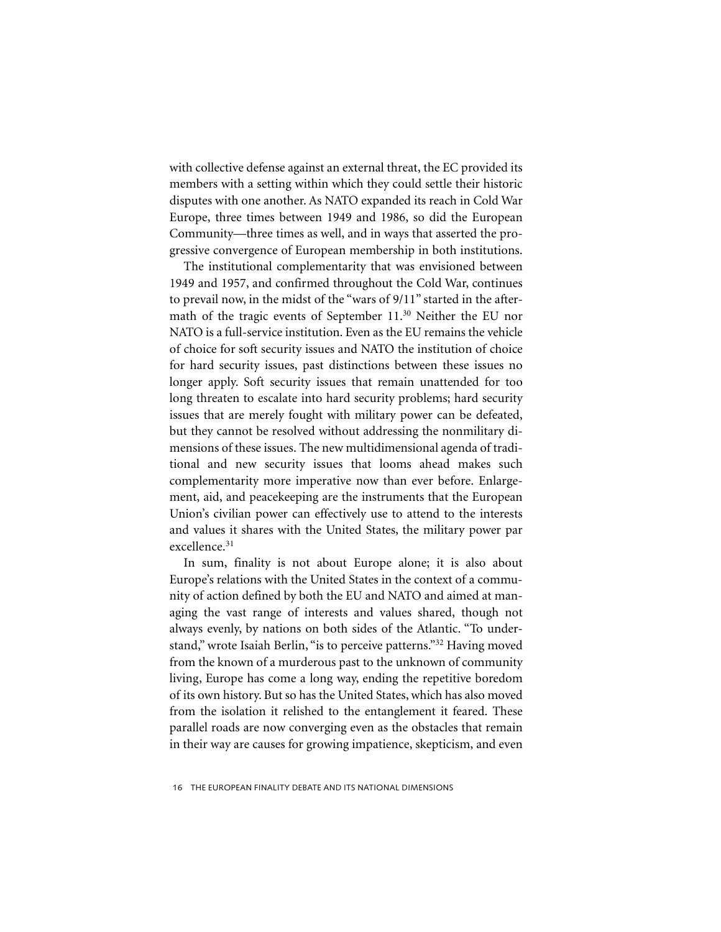with collective defense against an external threat, the EC provided its members with a setting within which they could settle their historic disputes with one another. As NATO expanded its reach in Cold War Europe, three times between 1949 and 1986, so did the European Community—three times as well, and in ways that asserted the progressive convergence of European membership in both institutions.

The institutional complementarity that was envisioned between 1949 and 1957, and confirmed throughout the Cold War, continues to prevail now, in the midst of the "wars of 9/11" started in the aftermath of the tragic events of September 11.30 Neither the EU nor NATO is a full-service institution. Even as the EU remains the vehicle of choice for soft security issues and NATO the institution of choice for hard security issues, past distinctions between these issues no longer apply. Soft security issues that remain unattended for too long threaten to escalate into hard security problems; hard security issues that are merely fought with military power can be defeated, but they cannot be resolved without addressing the nonmilitary dimensions of these issues. The new multidimensional agenda of traditional and new security issues that looms ahead makes such complementarity more imperative now than ever before. Enlargement, aid, and peacekeeping are the instruments that the European Union's civilian power can effectively use to attend to the interests and values it shares with the United States, the military power par excellence.31

In sum, finality is not about Europe alone; it is also about Europe's relations with the United States in the context of a community of action defined by both the EU and NATO and aimed at managing the vast range of interests and values shared, though not always evenly, by nations on both sides of the Atlantic. "To understand," wrote Isaiah Berlin, "is to perceive patterns."32 Having moved from the known of a murderous past to the unknown of community living, Europe has come a long way, ending the repetitive boredom of its own history. But so has the United States, which has also moved from the isolation it relished to the entanglement it feared. These parallel roads are now converging even as the obstacles that remain in their way are causes for growing impatience, skepticism, and even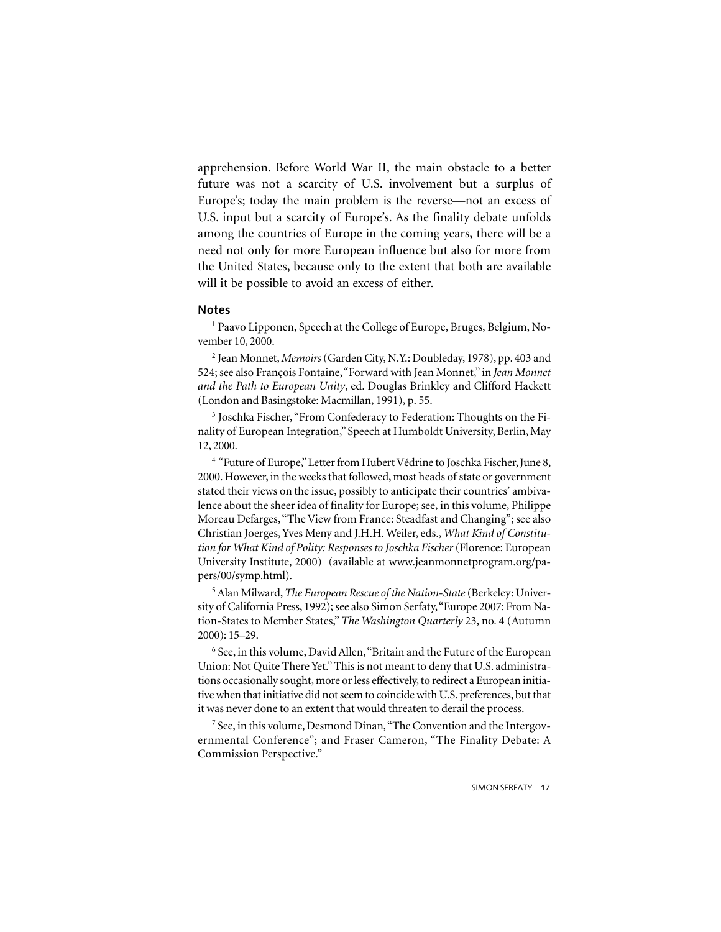apprehension. Before World War II, the main obstacle to a better future was not a scarcity of U.S. involvement but a surplus of Europe's; today the main problem is the reverse—not an excess of U.S. input but a scarcity of Europe's. As the finality debate unfolds among the countries of Europe in the coming years, there will be a need not only for more European influence but also for more from the United States, because only to the extent that both are available will it be possible to avoid an excess of either.

#### **Notes**

<sup>1</sup> Paavo Lipponen, Speech at the College of Europe, Bruges, Belgium, November 10, 2000.

2 Jean Monnet, *Memoirs* (Garden City, N.Y.: Doubleday, 1978), pp. 403 and 524; see also François Fontaine, "Forward with Jean Monnet," in *Jean Monnet and the Path to European Unity*, ed. Douglas Brinkley and Clifford Hackett (London and Basingstoke: Macmillan, 1991), p. 55.

<sup>3</sup> Joschka Fischer, "From Confederacy to Federation: Thoughts on the Finality of European Integration," Speech at Humboldt University, Berlin, May 12, 2000.

<sup>4</sup> "Future of Europe," Letter from Hubert Védrine to Joschka Fischer, June 8, 2000. However, in the weeks that followed, most heads of state or government stated their views on the issue, possibly to anticipate their countries' ambivalence about the sheer idea of finality for Europe; see, in this volume, Philippe Moreau Defarges, "The View from France: Steadfast and Changing"; see also Christian Joerges, Yves Meny and J.H.H. Weiler, eds., *What Kind of Constitution for What Kind of Polity: Responses to Joschka Fischer* (Florence: European University Institute, 2000) (available at www.jeanmonnetprogram.org/papers/00/symp.html).

5 Alan Milward, *The European Rescue of the Nation-State* (Berkeley: University of California Press, 1992); see also Simon Serfaty, "Europe 2007: From Nation-States to Member States," *The Washington Quarterly* 23, no. 4 (Autumn 2000): 15–29.

<sup>6</sup> See, in this volume, David Allen, "Britain and the Future of the European Union: Not Quite There Yet." This is not meant to deny that U.S. administrations occasionally sought, more or less effectively, to redirect a European initiative when that initiative did not seem to coincide with U.S. preferences, but that it was never done to an extent that would threaten to derail the process.

<sup>7</sup> See, in this volume, Desmond Dinan, "The Convention and the Intergovernmental Conference"; and Fraser Cameron, "The Finality Debate: A Commission Perspective."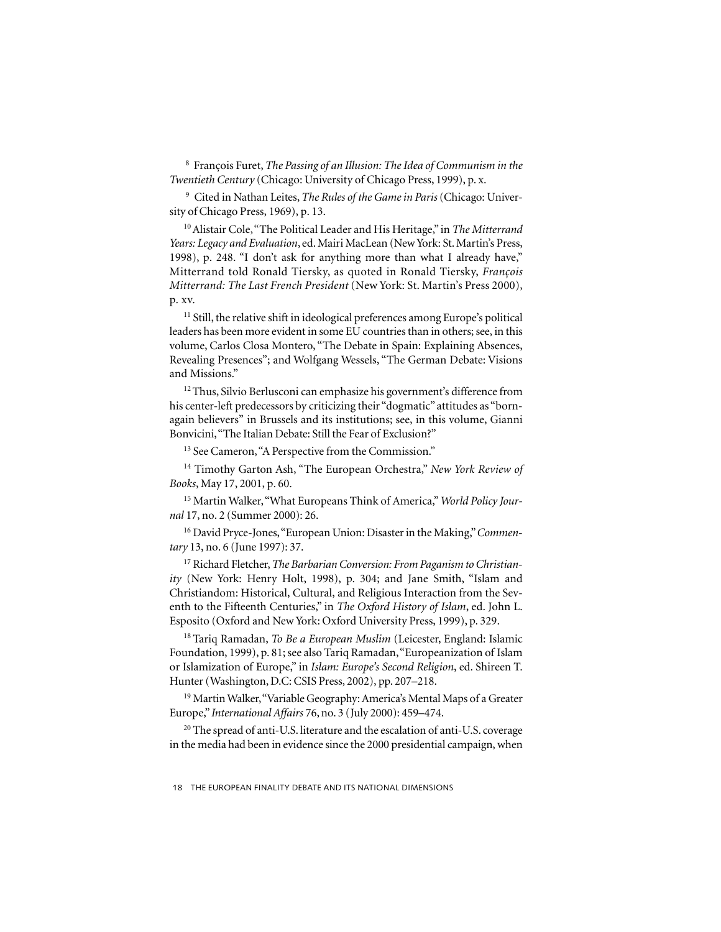8 François Furet, *The Passing of an Illusion: The Idea of Communism in the Twentieth Century* (Chicago: University of Chicago Press, 1999), p. x.

9 Cited in Nathan Leites, *The Rules of the Game in Paris* (Chicago: University of Chicago Press, 1969), p. 13.

10 Alistair Cole, "The Political Leader and His Heritage," in *The Mitterrand Years: Legacy and Evaluation*, ed. Mairi MacLean (New York: St. Martin's Press, 1998), p. 248. "I don't ask for anything more than what I already have," Mitterrand told Ronald Tiersky, as quoted in Ronald Tiersky, *François Mitterrand: The Last French President* (New York: St. Martin's Press 2000), p. xv.

<sup>11</sup> Still, the relative shift in ideological preferences among Europe's political leaders has been more evident in some EU countries than in others; see, in this volume, Carlos Closa Montero, "The Debate in Spain: Explaining Absences, Revealing Presences"; and Wolfgang Wessels, "The German Debate: Visions and Missions."

<sup>12</sup> Thus, Silvio Berlusconi can emphasize his government's difference from his center-left predecessors by criticizing their "dogmatic" attitudes as "bornagain believers" in Brussels and its institutions; see, in this volume, Gianni Bonvicini, "The Italian Debate: Still the Fear of Exclusion?"

<sup>13</sup> See Cameron, "A Perspective from the Commission."

14 Timothy Garton Ash, "The European Orchestra," *New York Review of Books*, May 17, 2001, p. 60.

15 Martin Walker, "What Europeans Think of America," *World Policy Journal* 17, no. 2 (Summer 2000): 26.

16 David Pryce-Jones, "European Union: Disaster in the Making," *Commentary* 13, no. 6 (June 1997): 37.

17 Richard Fletcher, *The Barbarian Conversion: From Paganism to Christianity* (New York: Henry Holt, 1998), p. 304; and Jane Smith, "Islam and Christiandom: Historical, Cultural, and Religious Interaction from the Seventh to the Fifteenth Centuries," in *The Oxford History of Islam*, ed. John L. Esposito (Oxford and New York: Oxford University Press, 1999), p. 329.

18 Tariq Ramadan, *To Be a European Muslim* (Leicester, England: Islamic Foundation, 1999), p. 81; see also Tariq Ramadan, "Europeanization of Islam or Islamization of Europe," in *Islam: Europe's Second Religion*, ed. Shireen T. Hunter (Washington, D.C: CSIS Press, 2002), pp. 207–218.

<sup>19</sup> Martin Walker, "Variable Geography: America's Mental Maps of a Greater Europe," *International Affairs* 76, no. 3 (July 2000): 459–474.

<sup>20</sup> The spread of anti-U.S. literature and the escalation of anti-U.S. coverage in the media had been in evidence since the 2000 presidential campaign, when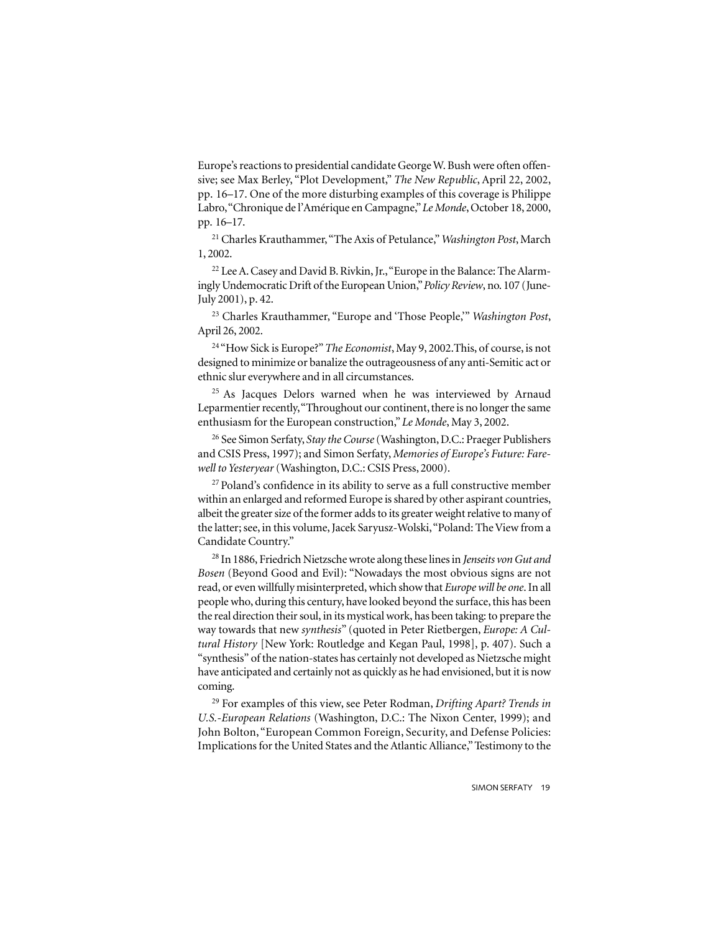Europe's reactions to presidential candidate George W. Bush were often offensive; see Max Berley, "Plot Development," *The New Republic*, April 22, 2002, pp. 16–17. One of the more disturbing examples of this coverage is Philippe Labro, "Chronique de l'Amérique en Campagne," *Le Monde*, October 18, 2000, pp. 16–17.

21 Charles Krauthammer, "The Axis of Petulance," *Washington Post*, March 1, 2002.

<sup>22</sup> Lee A. Casey and David B. Rivkin, Jr., "Europe in the Balance: The Alarmingly Undemocratic Drift of the European Union," *Policy Review*, no. 107 (June-July 2001), p. 42.

23 Charles Krauthammer, "Europe and 'Those People,'" *Washington Post*, April 26, 2002.

24 "How Sick is Europe?" *The Economist*, May 9, 2002.This, of course, is not designed to minimize or banalize the outrageousness of any anti-Semitic act or ethnic slur everywhere and in all circumstances.

<sup>25</sup> As Jacques Delors warned when he was interviewed by Arnaud Leparmentier recently, "Throughout our continent, there is no longer the same enthusiasm for the European construction," *Le Monde*, May 3, 2002.

26 See Simon Serfaty, *Stay the Course* (Washington, D.C.: Praeger Publishers and CSIS Press, 1997); and Simon Serfaty, *Memories of Europe's Future: Farewell to Yesteryear* (Washington, D.C.: CSIS Press, 2000).

<sup>27</sup> Poland's confidence in its ability to serve as a full constructive member within an enlarged and reformed Europe is shared by other aspirant countries, albeit the greater size of the former adds to its greater weight relative to many of the latter; see, in this volume, Jacek Saryusz-Wolski, "Poland: The View from a Candidate Country."

28 In 1886, Friedrich Nietzsche wrote along these lines in *Jenseits von Gut and Bosen* (Beyond Good and Evil): "Nowadays the most obvious signs are not read, or even willfully misinterpreted, which show that *Europe will be one*. In all people who, during this century, have looked beyond the surface, this has been the real direction their soul, in its mystical work, has been taking: to prepare the way towards that new *synthesis*" (quoted in Peter Rietbergen, *Europe: A Cultural History* [New York: Routledge and Kegan Paul, 1998], p. 407). Such a "synthesis" of the nation-states has certainly not developed as Nietzsche might have anticipated and certainly not as quickly as he had envisioned, but it is now coming.

29 For examples of this view, see Peter Rodman, *Drifting Apart? Trends in U.S.-European Relations* (Washington, D.C.: The Nixon Center, 1999); and John Bolton, "European Common Foreign, Security, and Defense Policies: Implications for the United States and the Atlantic Alliance," Testimony to the